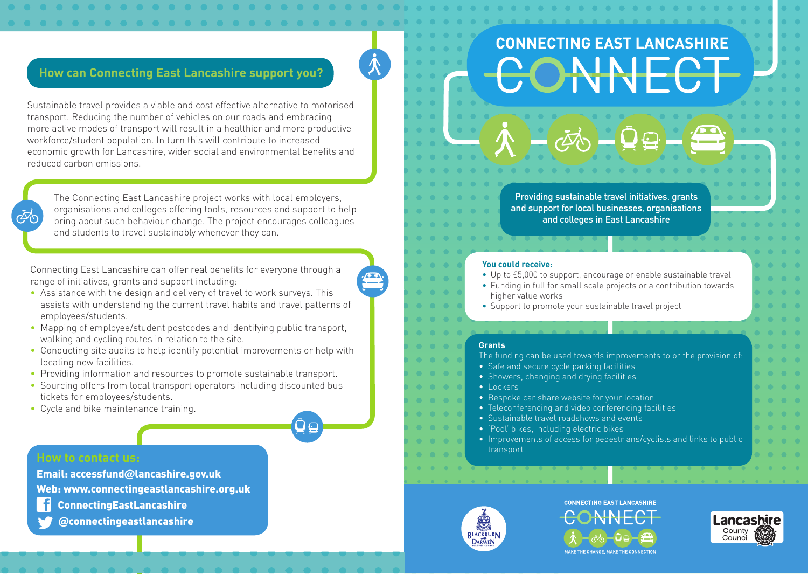## **How can Connecting East Lancashire support you?**

Sustainable travel provides a viable and cost effective alternative to motorised transport. Reducing the number of vehicles on our roads and embracing more active modes of transport will result in a healthier and more productive workforce/student population. In turn this will contribute to increased economic growth for Lancashire, wider social and environmental benefits and reduced carbon emissions.

The Connecting East Lancashire project works with local employers, organisations and colleges offering tools, resources and support to help bring about such behaviour change. The project encourages colleagues and students to travel sustainably whenever they can.

Connecting East Lancashire can offer real benefits for everyone through a range of initiatives, grants and support including:

- Assistance with the design and delivery of travel to work surveys. This assists with understanding the current travel habits and travel patterns of employees/students.
- Mapping of employee/student postcodes and identifying public transport, walking and cycling routes in relation to the site.
- Conducting site audits to help identify potential improvements or help with locating new facilities.
- Providing information and resources to promote sustainable transport.
- Sourcing offers from local transport operators including discounted bus tickets for employees/students.
- Cycle and bike maintenance training.

## **How to contact us:**

 $\vec{\phi}$ 

Email: accessfund@lancashire.gov.uk

Web: www.connectingeastlancashire.org.uk

- ConnectingEastLancashire
- @connectingeastlancashire

# **CONNECTING EAST LANCASHIRE NF**

**Providing sustainable travel initiatives, grants and support for local businesses, organisations and colleges in East Lancashire** 

### **You could receive:**

- Up to £5,000 to support, encourage or enable sustainable travel **•** Funding in full for small scale projects or a contribution towards
- higher value works
- Support to promote your sustainable travel project

#### **Grants**

 $\bullet \quad \bullet \quad \bullet$  $\bullet$   $\bullet$   $\bullet$   $\bullet$ 

• The funding can be used towards improvements to or the provision of:

- Safe and secure cycle parking facilities
- • Showers, changing and drying facilities
- Lockers
	- Bespoke car share website for your location
- Teleconferencing and video conferencing facilities
- Sustainable travel roadshows and events
- 'Pool' bikes, including electric bikes
- Improvements of access for pedestrians/cyclists and links to public transport



**CONNECTING EAST LANCASHIRE** 





**N**